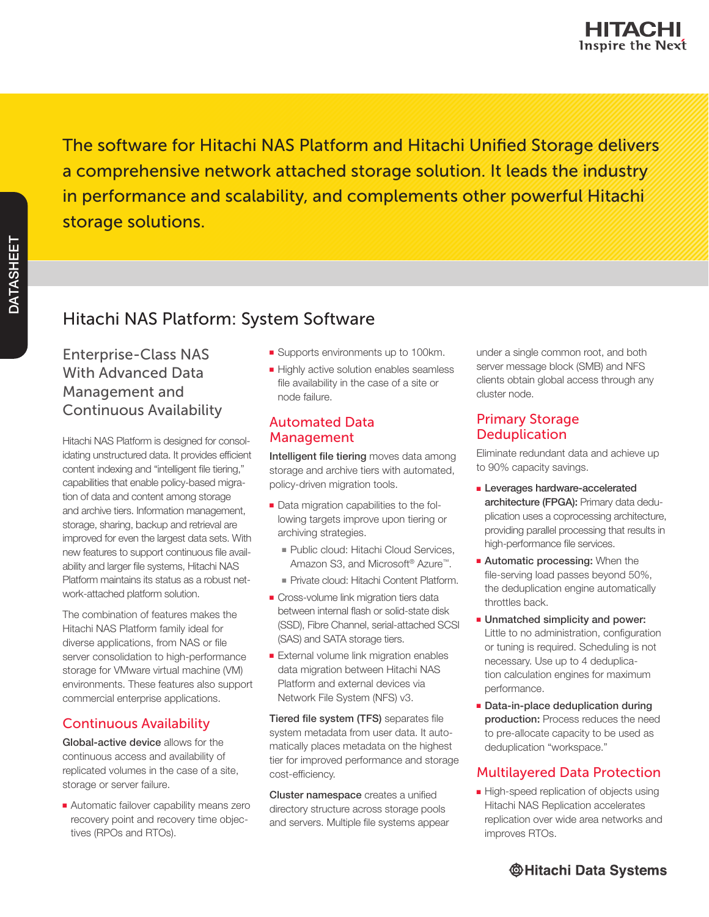The software for Hitachi NAS Platform and Hitachi Unified Storage delivers a comprehensive network attached storage solution. It leads the industry in performance and scalability, and complements other powerful Hitachi storage solutions.

# Hitachi NAS Platform: System Software

## Enterprise-Class NAS With Advanced Data Management and Continuous Availability

Hitachi NAS Platform is designed for consolidating unstructured data. It provides efficient content indexing and "intelligent file tiering," capabilities that enable policy-based migration of data and content among storage and archive tiers. Information management, storage, sharing, backup and retrieval are improved for even the largest data sets. With new features to support continuous file availability and larger file systems, Hitachi NAS Platform maintains its status as a robust network-attached platform solution.

The combination of features makes the Hitachi NAS Platform family ideal for diverse applications, from NAS or file server consolidation to high-performance storage for VMware virtual machine (VM) environments. These features also support commercial enterprise applications.

## Continuous Availability

Global-active device allows for the continuous access and availability of replicated volumes in the case of a site, storage or server failure.

■ Automatic failover capability means zero recovery point and recovery time objectives (RPOs and RTOs).

- Supports environments up to 100km.
- Highly active solution enables seamless file availability in the case of a site or node failure.

### Automated Data Management

Intelligent file tiering moves data among storage and archive tiers with automated, policy-driven migration tools.

- Data migration capabilities to the following targets improve upon tiering or archiving strategies.
	- Public cloud: Hitachi Cloud Services, Amazon S3, and Microsoft® Azure™.
	- Private cloud: Hitachi Content Platform.
- Cross-volume link migration tiers data between internal flash or solid-state disk (SSD), Fibre Channel, serial-attached SCSI (SAS) and SATA storage tiers.
- External volume link migration enables data migration between Hitachi NAS Platform and external devices via Network File System (NFS) v3.

Tiered file system (TFS) separates file system metadata from user data. It automatically places metadata on the highest tier for improved performance and storage cost-efficiency.

Cluster namespace creates a unified directory structure across storage pools and servers. Multiple file systems appear under a single common root, and both server message block (SMB) and NFS clients obtain global access through any cluster node.

## Primary Storage **Deduplication**

Eliminate redundant data and achieve up to 90% capacity savings.

- **Exercises hardware-accelerated** architecture (FPGA): Primary data deduplication uses a coprocessing architecture, providing parallel processing that results in high-performance file services.
- Automatic processing: When the file-serving load passes beyond 50%, the deduplication engine automatically throttles back.
- Unmatched simplicity and power: Little to no administration, configuration or tuning is required. Scheduling is not necessary. Use up to 4 deduplication calculation engines for maximum performance.
- Data-in-place deduplication during production: Process reduces the need to pre-allocate capacity to be used as deduplication "workspace."

## Multilayered Data Protection

■ High-speed replication of objects using Hitachi NAS Replication accelerates replication over wide area networks and improves RTOs.